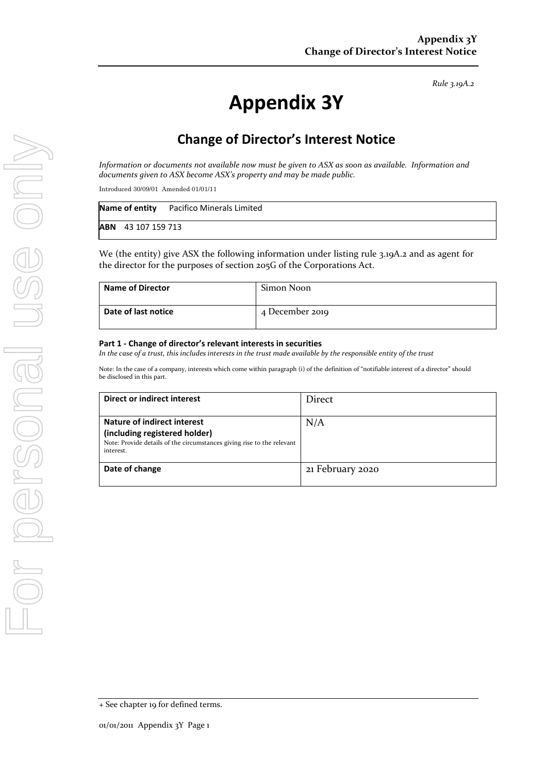*Rule 3.19A.2*

# **Appendix 3Y**

# **Change of Director's Interest Notice**

*Information or documents not available now must be given to ASX as soon as available. Information and documents given to ASX become ASX's property and may be made public.*

Introduced 30/09/01 Amended 01/01/11

|                           | <b>Name of entity</b> Pacifico Minerals Limited |
|---------------------------|-------------------------------------------------|
| <b>ABN</b> 43 107 159 713 |                                                 |

We (the entity) give ASX the following information under listing rule 3.19A.2 and as agent for the director for the purposes of section 205G of the Corporations Act.

| <b>Name of Director</b> | Simon Noon      |
|-------------------------|-----------------|
| Date of last notice     | 4 December 2019 |

#### **Part 1 - Change of director's relevant interests in securities**

*In the case of a trust, this includes interests in the trust made available by the responsible entity of the trust*

Note: In the case of a company, interests which come within paragraph (i) of the definition of "notifiable interest of a director" should be disclosed in this part.

| Direct or indirect interest                                                                                                                         | Direct           |
|-----------------------------------------------------------------------------------------------------------------------------------------------------|------------------|
| Nature of indirect interest<br>(including registered holder)<br>Note: Provide details of the circumstances giving rise to the relevant<br>interest. | N/A              |
| Date of change                                                                                                                                      | 21 February 2020 |

<sup>+</sup> See chapter 19 for defined terms.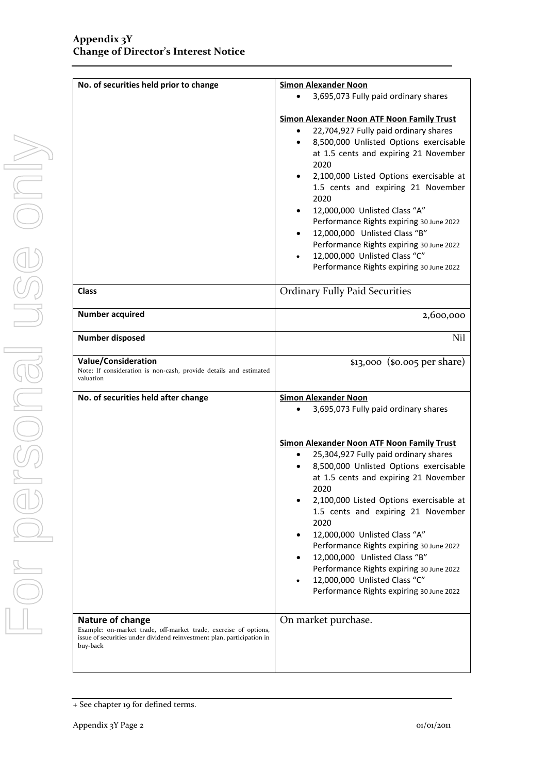| No. of securities held prior to change                                                                                                                                     | <b>Simon Alexander Noon</b>                                                                                                                                                                                                                                                                                                                                                                                                                                                                                                                                               |  |
|----------------------------------------------------------------------------------------------------------------------------------------------------------------------------|---------------------------------------------------------------------------------------------------------------------------------------------------------------------------------------------------------------------------------------------------------------------------------------------------------------------------------------------------------------------------------------------------------------------------------------------------------------------------------------------------------------------------------------------------------------------------|--|
|                                                                                                                                                                            | 3,695,073 Fully paid ordinary shares                                                                                                                                                                                                                                                                                                                                                                                                                                                                                                                                      |  |
|                                                                                                                                                                            | <b>Simon Alexander Noon ATF Noon Family Trust</b><br>22,704,927 Fully paid ordinary shares<br>8,500,000 Unlisted Options exercisable<br>$\bullet$<br>at 1.5 cents and expiring 21 November<br>2020<br>2,100,000 Listed Options exercisable at<br>1.5 cents and expiring 21 November<br>2020<br>12,000,000 Unlisted Class "A"<br>Performance Rights expiring 30 June 2022<br>12,000,000 Unlisted Class "B"<br>$\bullet$<br>Performance Rights expiring 30 June 2022<br>12,000,000 Unlisted Class "C"<br>Performance Rights expiring 30 June 2022                           |  |
| <b>Class</b>                                                                                                                                                               | <b>Ordinary Fully Paid Securities</b>                                                                                                                                                                                                                                                                                                                                                                                                                                                                                                                                     |  |
| <b>Number acquired</b>                                                                                                                                                     | 2,600,000                                                                                                                                                                                                                                                                                                                                                                                                                                                                                                                                                                 |  |
| <b>Number disposed</b>                                                                                                                                                     | N <sub>il</sub>                                                                                                                                                                                                                                                                                                                                                                                                                                                                                                                                                           |  |
| <b>Value/Consideration</b><br>Note: If consideration is non-cash, provide details and estimated<br>valuation                                                               | $$13,000$ ( $$0.005$ per share)                                                                                                                                                                                                                                                                                                                                                                                                                                                                                                                                           |  |
| No. of securities held after change                                                                                                                                        | <b>Simon Alexander Noon</b>                                                                                                                                                                                                                                                                                                                                                                                                                                                                                                                                               |  |
|                                                                                                                                                                            | 3,695,073 Fully paid ordinary shares                                                                                                                                                                                                                                                                                                                                                                                                                                                                                                                                      |  |
|                                                                                                                                                                            | <b>Simon Alexander Noon ATF Noon Family Trust</b><br>25,304,927 Fully paid ordinary shares<br>$\bullet$<br>8,500,000 Unlisted Options exercisable<br>at 1.5 cents and expiring 21 November<br>2020<br>2,100,000 Listed Options exercisable at<br>1.5 cents and expiring 21 November<br>2020<br>12,000,000 Unlisted Class "A"<br>$\bullet$<br>Performance Rights expiring 30 June 2022<br>12,000,000 Unlisted Class "B"<br>$\bullet$<br>Performance Rights expiring 30 June 2022<br>12,000,000 Unlisted Class "C"<br>$\bullet$<br>Performance Rights expiring 30 June 2022 |  |
| Nature of change<br>Example: on-market trade, off-market trade, exercise of options,<br>issue of securities under dividend reinvestment plan, participation in<br>buy-back | On market purchase.                                                                                                                                                                                                                                                                                                                                                                                                                                                                                                                                                       |  |

<sup>+</sup> See chapter 19 for defined terms.